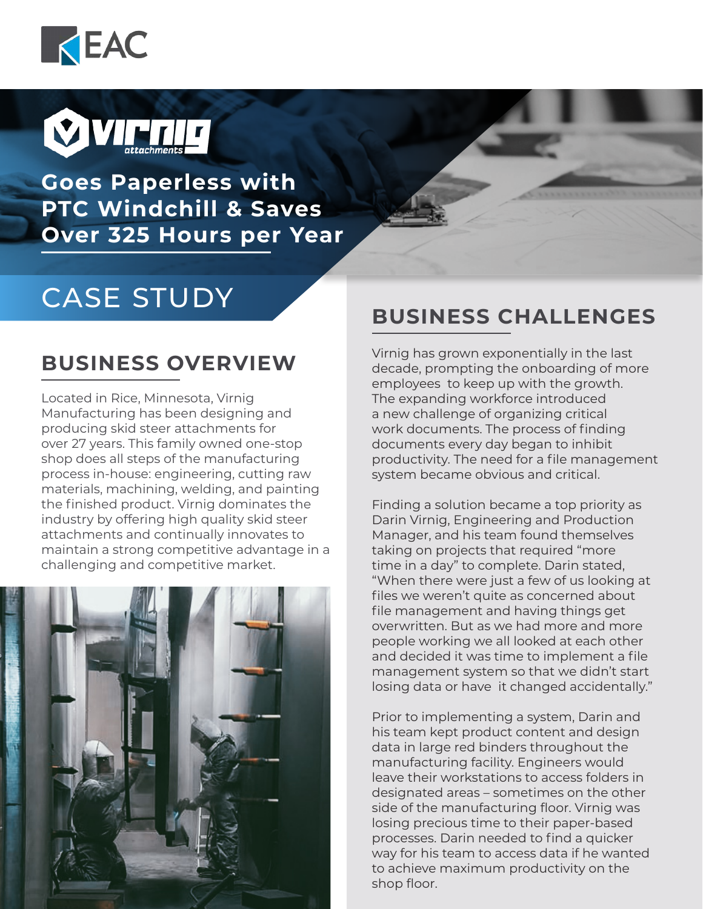



**Goes Paperless with PTC Windchill & Saves Over 325 Hours per Year**

# CASE STUDY

Located in Rice, Minnesota, Virnig Manufacturing has been designing and producing skid steer attachments for over 27 years. This family owned one-stop shop does all steps of the manufacturing process in-house: engineering, cutting raw materials, machining, welding, and painting the finished product. Virnig dominates the industry by offering high quality skid steer attachments and continually innovates to maintain a strong competitive advantage in a challenging and competitive market.



#### **BUSINESS CHALLENGES**

**BUSINESS OVERVIEW** Virnig has grown exponentially in the last decade, prompting the onboarding of more employees to keep up with the growth. The expanding workforce introduced a new challenge of organizing critical work documents. The process of finding documents every day began to inhibit productivity. The need for a file management system became obvious and critical.

> Finding a solution became a top priority as Darin Virnig, Engineering and Production Manager, and his team found themselves taking on projects that required "more time in a day" to complete. Darin stated, "When there were just a few of us looking at files we weren't quite as concerned about file management and having things get overwritten. But as we had more and more people working we all looked at each other and decided it was time to implement a file management system so that we didn't start losing data or have it changed accidentally."

> Prior to implementing a system, Darin and his team kept product content and design data in large red binders throughout the manufacturing facility. Engineers would leave their workstations to access folders in designated areas – sometimes on the other side of the manufacturing floor. Virnig was losing precious time to their paper-based processes. Darin needed to find a quicker way for his team to access data if he wanted to achieve maximum productivity on the shop floor.